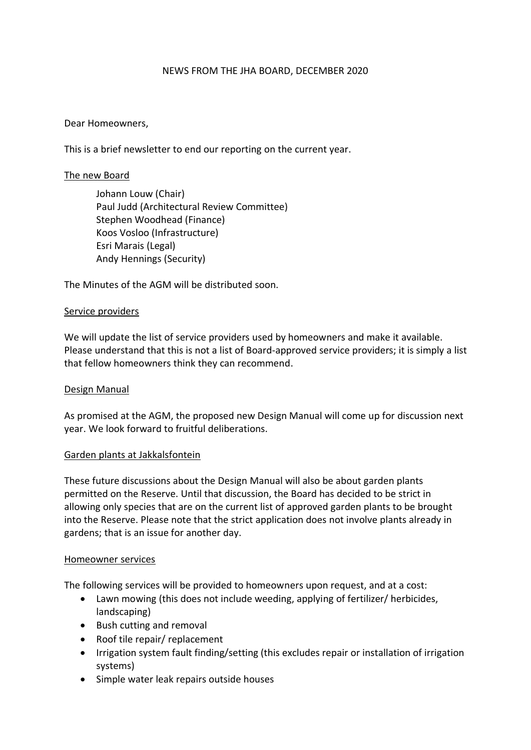#### NEWS FROM THE JHA BOARD, DECEMBER 2020

### Dear Homeowners,

This is a brief newsletter to end our reporting on the current year.

## The new Board

Johann Louw (Chair) Paul Judd (Architectural Review Committee) Stephen Woodhead (Finance) Koos Vosloo (Infrastructure) Esri Marais (Legal) Andy Hennings (Security)

The Minutes of the AGM will be distributed soon.

#### Service providers

We will update the list of service providers used by homeowners and make it available. Please understand that this is not a list of Board-approved service providers; it is simply a list that fellow homeowners think they can recommend.

# Design Manual

As promised at the AGM, the proposed new Design Manual will come up for discussion next year. We look forward to fruitful deliberations.

#### Garden plants at Jakkalsfontein

These future discussions about the Design Manual will also be about garden plants permitted on the Reserve. Until that discussion, the Board has decided to be strict in allowing only species that are on the current list of approved garden plants to be brought into the Reserve. Please note that the strict application does not involve plants already in gardens; that is an issue for another day.

#### Homeowner services

The following services will be provided to homeowners upon request, and at a cost:

- Lawn mowing (this does not include weeding, applying of fertilizer/ herbicides, landscaping)
- Bush cutting and removal
- Roof tile repair/ replacement
- Irrigation system fault finding/setting (this excludes repair or installation of irrigation systems)
- Simple water leak repairs outside houses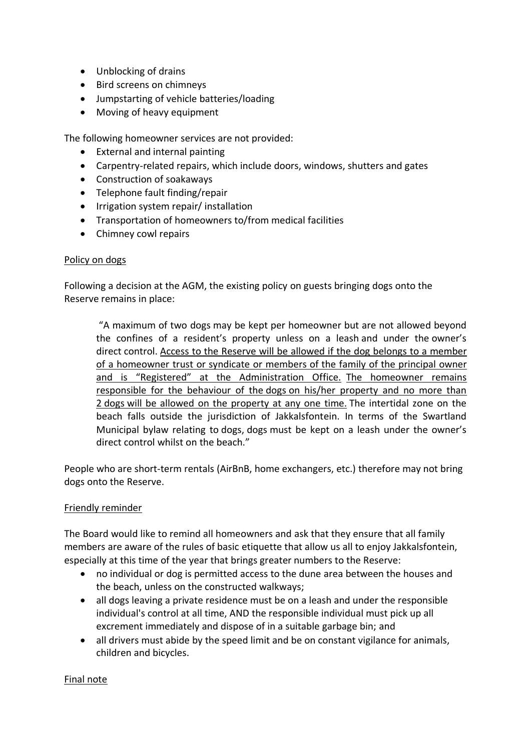- Unblocking of drains
- Bird screens on chimneys
- Jumpstarting of vehicle batteries/loading
- Moving of heavy equipment

The following homeowner services are not provided:

- External and internal painting
- Carpentry-related repairs, which include doors, windows, shutters and gates
- Construction of soakaways
- Telephone fault finding/repair
- Irrigation system repair/ installation
- Transportation of homeowners to/from medical facilities
- Chimney cowl repairs

#### Policy on dogs

Following a decision at the AGM, the existing policy on guests bringing dogs onto the Reserve remains in place:

"A maximum of two dogs may be kept per homeowner but are not allowed beyond the confines of a resident's property unless on a leash and under the owner's direct control. Access to the Reserve will be allowed if the dog belongs to a member of a homeowner trust or syndicate or members of the family of the principal owner and is "Registered" at the Administration Office. The homeowner remains responsible for the behaviour of the dogs on his/her property and no more than 2 dogs will be allowed on the property at any one time. The intertidal zone on the beach falls outside the jurisdiction of Jakkalsfontein. In terms of the Swartland Municipal bylaw relating to dogs, dogs must be kept on a leash under the owner's direct control whilst on the beach."

People who are short-term rentals (AirBnB, home exchangers, etc.) therefore may not bring dogs onto the Reserve.

#### Friendly reminder

The Board would like to remind all homeowners and ask that they ensure that all family members are aware of the rules of basic etiquette that allow us all to enjoy Jakkalsfontein, especially at this time of the year that brings greater numbers to the Reserve:

- no individual or dog is permitted access to the dune area between the houses and the beach, unless on the constructed walkways;
- all dogs leaving a private residence must be on a leash and under the responsible individual's control at all time, AND the responsible individual must pick up all excrement immediately and dispose of in a suitable garbage bin; and
- all drivers must abide by the speed limit and be on constant vigilance for animals, children and bicycles.

#### Final note